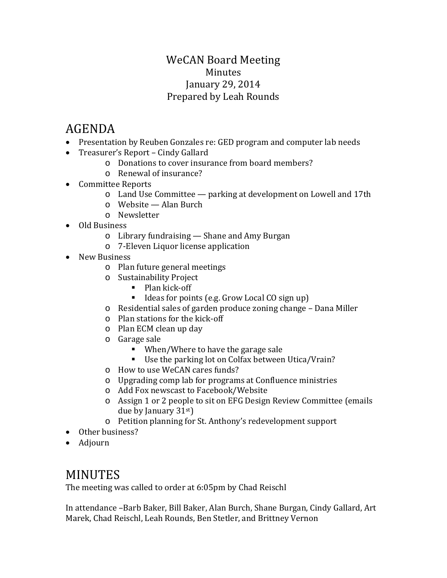### WeCAN Board Meeting Minutes January 29, 2014 Prepared by Leah Rounds

# AGENDA

- Presentation by Reuben Gonzales re: GED program and computer lab needs
- Treasurer's Report Cindy Gallard
	- o Donations to cover insurance from board members?
	- o Renewal of insurance?
- Committee Reports
	- o Land Use Committee parking at development on Lowell and 17th
	- o Website Alan Burch
	- o Newsletter
- Old Business
	- o Library fundraising Shane and Amy Burgan
	- o 7-Eleven Liquor license application
- New Business
	- o Plan future general meetings
	- o Sustainability Project
		- Plan kick-off
		- Ideas for points (e.g. Grow Local CO sign up)
	- o Residential sales of garden produce zoning change Dana Miller
	- o Plan stations for the kick-off
	- o Plan ECM clean up day
	- o Garage sale
		- When/Where to have the garage sale
		- Use the parking lot on Colfax between Utica/Vrain?
	- o How to use WeCAN cares funds?
	- o Upgrading comp lab for programs at Confluence ministries
	- o Add Fox newscast to Facebook/Website
	- o Assign 1 or 2 people to sit on EFG Design Review Committee (emails due by January  $31<sup>st</sup>$
	- o Petition planning for St. Anthony's redevelopment support
- Other business?
- Adjourn

## MINUTES

The meeting was called to order at 6:05pm by Chad Reischl

In attendance –Barb Baker, Bill Baker, Alan Burch, Shane Burgan, Cindy Gallard, Art Marek, Chad Reischl, Leah Rounds, Ben Stetler, and Brittney Vernon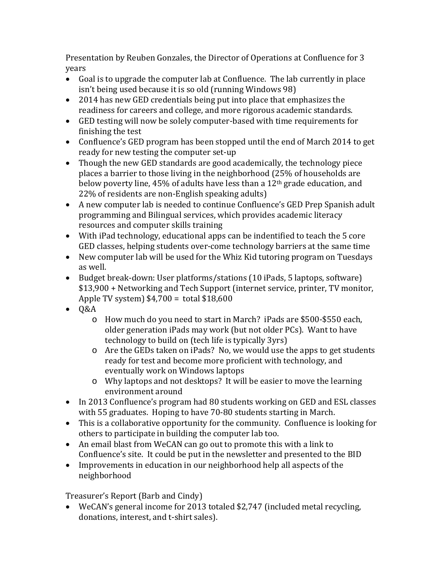Presentation by Reuben Gonzales, the Director of Operations at Confluence for 3 years

- Goal is to upgrade the computer lab at Confluence. The lab currently in place isn't being used because it is so old (running Windows 98)
- 2014 has new GED credentials being put into place that emphasizes the readiness for careers and college, and more rigorous academic standards.
- GED testing will now be solely computer-based with time requirements for finishing the test
- Confluence's GED program has been stopped until the end of March 2014 to get ready for new testing the computer set-up
- Though the new GED standards are good academically, the technology piece places a barrier to those living in the neighborhood (25% of households are below poverty line, 45% of adults have less than a 12<sup>th</sup> grade education, and 22% of residents are non-English speaking adults)
- A new computer lab is needed to continue Confluence's GED Prep Spanish adult programming and Bilingual services, which provides academic literacy resources and computer skills training
- With iPad technology, educational apps can be indentified to teach the 5 core GED classes, helping students over-come technology barriers at the same time
- New computer lab will be used for the Whiz Kid tutoring program on Tuesdays as well.
- Budget break-down: User platforms/stations (10 iPads, 5 laptops, software) \$13,900 + Networking and Tech Support (internet service, printer, TV monitor, Apple TV system) \$4,700 = total \$18,600
- Q&A
	- o How much do you need to start in March? iPads are \$500-\$550 each, older generation iPads may work (but not older PCs). Want to have technology to build on (tech life is typically 3yrs)
	- o Are the GEDs taken on iPads? No, we would use the apps to get students ready for test and become more proficient with technology, and eventually work on Windows laptops
	- o Why laptops and not desktops? It will be easier to move the learning environment around
- In 2013 Confluence's program had 80 students working on GED and ESL classes with 55 graduates. Hoping to have 70-80 students starting in March.
- This is a collaborative opportunity for the community. Confluence is looking for others to participate in building the computer lab too.
- An email blast from WeCAN can go out to promote this with a link to Confluence's site. It could be put in the newsletter and presented to the BID
- Improvements in education in our neighborhood help all aspects of the neighborhood

Treasurer's Report (Barb and Cindy)

• WeCAN's general income for 2013 totaled \$2,747 (included metal recycling, donations, interest, and t-shirt sales).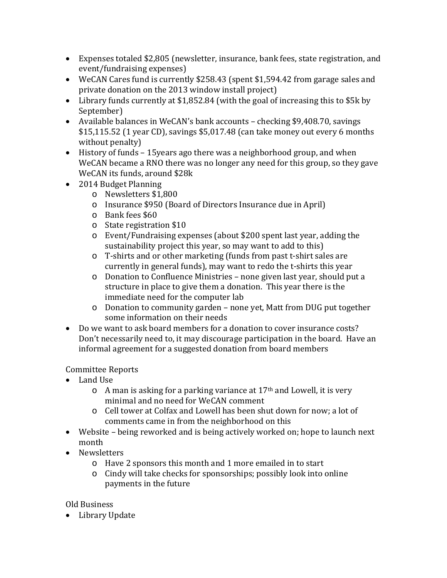- Expenses totaled \$2,805 (newsletter, insurance, bank fees, state registration, and event/fundraising expenses)
- WeCAN Cares fund is currently \$258.43 (spent \$1,594.42 from garage sales and private donation on the 2013 window install project)
- Library funds currently at \$1,852.84 (with the goal of increasing this to \$5k by September)
- Available balances in WeCAN's bank accounts checking \$9,408.70, savings \$15,115.52 (1 year CD), savings \$5,017.48 (can take money out every 6 months without penalty)
- History of funds 15years ago there was a neighborhood group, and when WeCAN became a RNO there was no longer any need for this group, so they gave WeCAN its funds, around \$28k
- 2014 Budget Planning
	- o Newsletters \$1,800
	- o Insurance \$950 (Board of Directors Insurance due in April)
	- o Bank fees \$60
	- o State registration \$10
	- o Event/Fundraising expenses (about \$200 spent last year, adding the sustainability project this year, so may want to add to this)
	- o T-shirts and or other marketing (funds from past t-shirt sales are currently in general funds), may want to redo the t-shirts this year
	- o Donation to Confluence Ministries none given last year, should put a structure in place to give them a donation. This year there is the immediate need for the computer lab
	- o Donation to community garden none yet, Matt from DUG put together some information on their needs
- Do we want to ask board members for a donation to cover insurance costs? Don't necessarily need to, it may discourage participation in the board. Have an informal agreement for a suggested donation from board members

### Committee Reports

- Land Use
	- $\circ$  A man is asking for a parking variance at 17<sup>th</sup> and Lowell, it is very minimal and no need for WeCAN comment
	- o Cell tower at Colfax and Lowell has been shut down for now; a lot of comments came in from the neighborhood on this
- Website being reworked and is being actively worked on; hope to launch next month
- Newsletters
	- o Have 2 sponsors this month and 1 more emailed in to start
	- o Cindy will take checks for sponsorships; possibly look into online payments in the future

### Old Business

• Library Update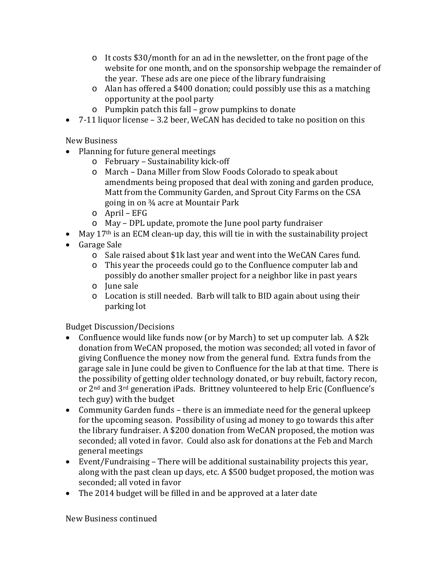- o It costs \$30/month for an ad in the newsletter, on the front page of the website for one month, and on the sponsorship webpage the remainder of the year. These ads are one piece of the library fundraising
- o Alan has offered a \$400 donation; could possibly use this as a matching opportunity at the pool party
- o Pumpkin patch this fall grow pumpkins to donate
- 7-11 liquor license 3.2 beer, WeCAN has decided to take no position on this

New Business

- Planning for future general meetings
	- o February Sustainability kick-off
	- o March Dana Miller from Slow Foods Colorado to speak about amendments being proposed that deal with zoning and garden produce, Matt from the Community Garden, and Sprout City Farms on the CSA going in on ¾ acre at Mountair Park
	- o April EFG
	- o May DPL update, promote the June pool party fundraiser
- May  $17<sup>th</sup>$  is an ECM clean-up day, this will tie in with the sustainability project
- Garage Sale
	- o Sale raised about \$1k last year and went into the WeCAN Cares fund.
	- o This year the proceeds could go to the Confluence computer lab and possibly do another smaller project for a neighbor like in past years
	- o June sale
	- o Location is still needed. Barb will talk to BID again about using their parking lot

Budget Discussion/Decisions

- Confluence would like funds now (or by March) to set up computer lab. A \$2k donation from WeCAN proposed, the motion was seconded; all voted in favor of giving Confluence the money now from the general fund. Extra funds from the garage sale in June could be given to Confluence for the lab at that time. There is the possibility of getting older technology donated, or buy rebuilt, factory recon, or 2<sup>nd</sup> and 3<sup>rd</sup> generation iPads. Brittney volunteered to help Eric (Confluence's tech guy) with the budget
- Community Garden funds there is an immediate need for the general upkeep for the upcoming season. Possibility of using ad money to go towards this after the library fundraiser. A \$200 donation from WeCAN proposed, the motion was seconded; all voted in favor. Could also ask for donations at the Feb and March general meetings
- Event/Fundraising There will be additional sustainability projects this year, along with the past clean up days, etc. A \$500 budget proposed, the motion was seconded; all voted in favor
- The 2014 budget will be filled in and be approved at a later date

New Business continued